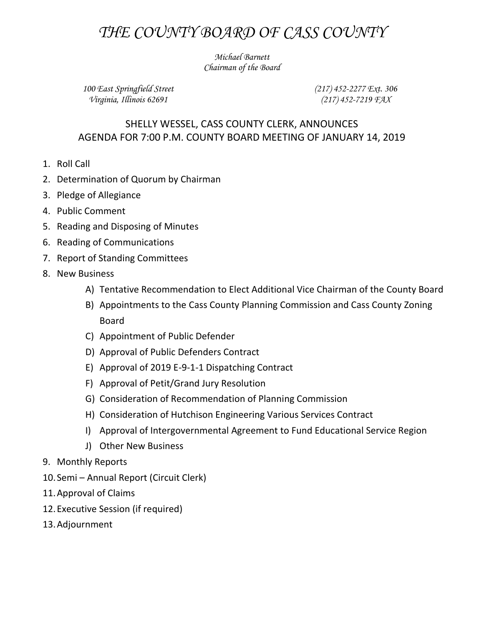## *THE COUNTY BOARD OF CASS COUNTY*

*Michael Barnett Chairman of the Board*

*100 East Springfield Street Virginia, Illinois 62691*

*(217) 452-2277 Ext. 306 (217) 452-7219 FAX*

## SHELLY WESSEL, CASS COUNTY CLERK, ANNOUNCES AGENDA FOR 7:00 P.M. COUNTY BOARD MEETING OF JANUARY 14, 2019

- 1. Roll Call
- 2. Determination of Quorum by Chairman
- 3. Pledge of Allegiance
- 4. Public Comment
- 5. Reading and Disposing of Minutes
- 6. Reading of Communications
- 7. Report of Standing Committees
- 8. New Business
	- A) Tentative Recommendation to Elect Additional Vice Chairman of the County Board
	- B) Appointments to the Cass County Planning Commission and Cass County Zoning Board
	- C) Appointment of Public Defender
	- D) Approval of Public Defenders Contract
	- E) Approval of 2019 E-9-1-1 Dispatching Contract
	- F) Approval of Petit/Grand Jury Resolution
	- G) Consideration of Recommendation of Planning Commission
	- H) Consideration of Hutchison Engineering Various Services Contract
	- I) Approval of Intergovernmental Agreement to Fund Educational Service Region
	- J) Other New Business
- 9. Monthly Reports
- 10. Semi Annual Report (Circuit Clerk)
- 11.Approval of Claims
- 12.Executive Session (if required)
- 13.Adjournment